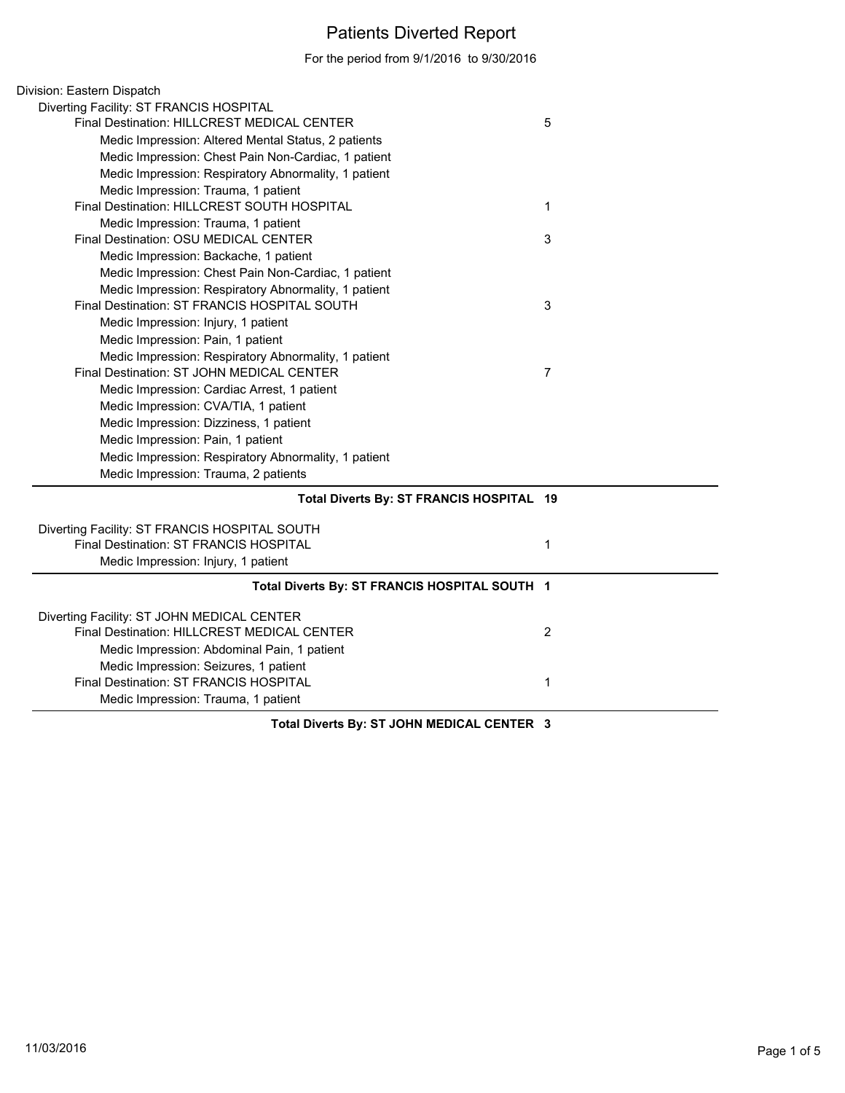## Patients Diverted Report

For the period from 9/1/2016 to 9/30/2016

| Division: Eastern Dispatch                           |                |  |
|------------------------------------------------------|----------------|--|
| Diverting Facility: ST FRANCIS HOSPITAL              |                |  |
| Final Destination: HILLCREST MEDICAL CENTER          | 5              |  |
| Medic Impression: Altered Mental Status, 2 patients  |                |  |
| Medic Impression: Chest Pain Non-Cardiac, 1 patient  |                |  |
| Medic Impression: Respiratory Abnormality, 1 patient |                |  |
| Medic Impression: Trauma, 1 patient                  |                |  |
| Final Destination: HILLCREST SOUTH HOSPITAL          | 1              |  |
| Medic Impression: Trauma, 1 patient                  |                |  |
| Final Destination: OSU MEDICAL CENTER                | 3              |  |
| Medic Impression: Backache, 1 patient                |                |  |
| Medic Impression: Chest Pain Non-Cardiac, 1 patient  |                |  |
| Medic Impression: Respiratory Abnormality, 1 patient |                |  |
| Final Destination: ST FRANCIS HOSPITAL SOUTH         | 3              |  |
| Medic Impression: Injury, 1 patient                  |                |  |
| Medic Impression: Pain, 1 patient                    |                |  |
| Medic Impression: Respiratory Abnormality, 1 patient |                |  |
| Final Destination: ST JOHN MEDICAL CENTER            | $\overline{7}$ |  |
| Medic Impression: Cardiac Arrest, 1 patient          |                |  |
| Medic Impression: CVA/TIA, 1 patient                 |                |  |
| Medic Impression: Dizziness, 1 patient               |                |  |
| Medic Impression: Pain, 1 patient                    |                |  |
| Medic Impression: Respiratory Abnormality, 1 patient |                |  |
| Medic Impression: Trauma, 2 patients                 |                |  |
| Total Diverts By: ST FRANCIS HOSPITAL 19             |                |  |
| Diverting Facility: ST FRANCIS HOSPITAL SOUTH        |                |  |
| Final Destination: ST FRANCIS HOSPITAL               | 1              |  |
| Medic Impression: Injury, 1 patient                  |                |  |
|                                                      |                |  |
| Total Diverts By: ST FRANCIS HOSPITAL SOUTH 1        |                |  |
| Diverting Facility: ST JOHN MEDICAL CENTER           |                |  |
| Final Destination: HILLCREST MEDICAL CENTER          | $\overline{2}$ |  |
| Medic Impression: Abdominal Pain, 1 patient          |                |  |
| Medic Impression: Seizures, 1 patient                |                |  |
| Final Destination: ST FRANCIS HOSPITAL               | 1              |  |
| Medic Impression: Trauma, 1 patient                  |                |  |
|                                                      |                |  |

**Total Diverts By: ST JOHN MEDICAL CENTER 3**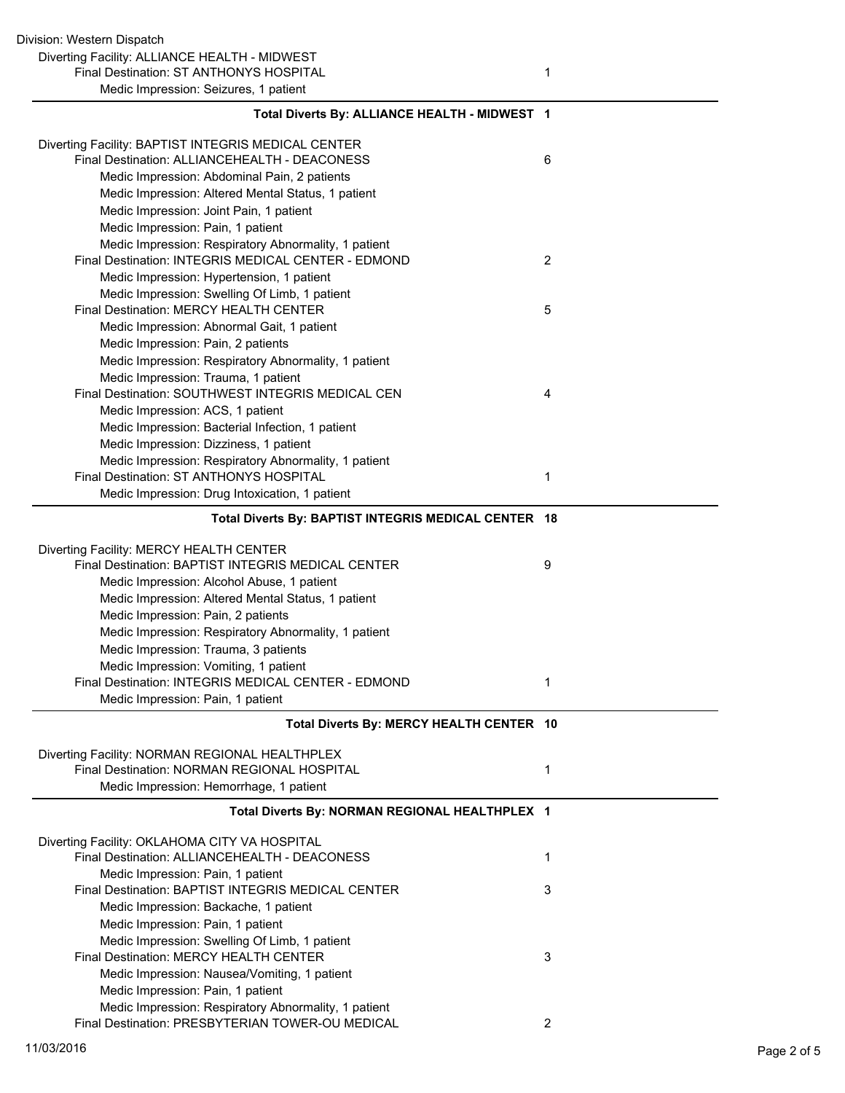| Total Diverts By: ALLIANCE HEALTH - MIDWEST 1        |   |
|------------------------------------------------------|---|
| Diverting Facility: BAPTIST INTEGRIS MEDICAL CENTER  |   |
| Final Destination: ALLIANCEHEALTH - DEACONESS        | 6 |
| Medic Impression: Abdominal Pain, 2 patients         |   |
| Medic Impression: Altered Mental Status, 1 patient   |   |
| Medic Impression: Joint Pain, 1 patient              |   |
| Medic Impression: Pain, 1 patient                    |   |
| Medic Impression: Respiratory Abnormality, 1 patient |   |
| Final Destination: INTEGRIS MEDICAL CENTER - EDMOND  | 2 |
| Medic Impression: Hypertension, 1 patient            |   |
| Medic Impression: Swelling Of Limb, 1 patient        |   |
| Final Destination: MERCY HEALTH CENTER               | 5 |
| Medic Impression: Abnormal Gait, 1 patient           |   |
| Medic Impression: Pain, 2 patients                   |   |
| Medic Impression: Respiratory Abnormality, 1 patient |   |
| Medic Impression: Trauma, 1 patient                  |   |
| Final Destination: SOUTHWEST INTEGRIS MEDICAL CEN    | 4 |
| Medic Impression: ACS, 1 patient                     |   |
| Medic Impression: Bacterial Infection, 1 patient     |   |
| Medic Impression: Dizziness, 1 patient               |   |
| Medic Impression: Respiratory Abnormality, 1 patient |   |
| Final Destination: ST ANTHONYS HOSPITAL              | 1 |
| Medic Impression: Drug Intoxication, 1 patient       |   |
| Total Diverts By: BAPTIST INTEGRIS MEDICAL CENTER 18 |   |
| Diverting Facility: MERCY HEALTH CENTER              |   |
| Final Destination: BAPTIST INTEGRIS MEDICAL CENTER   | 9 |
| Medic Impression: Alcohol Abuse, 1 patient           |   |
| Medic Impression: Altered Mental Status, 1 patient   |   |
| Medic Impression: Pain, 2 patients                   |   |
| Medic Impression: Respiratory Abnormality, 1 patient |   |
| Medic Impression: Trauma, 3 patients                 |   |
| Medic Impression: Vomiting, 1 patient                |   |
| Final Destination: INTEGRIS MEDICAL CENTER - EDMOND  | 1 |
| Medic Impression: Pain, 1 patient                    |   |
| Total Diverts By: MERCY HEALTH CENTER 10             |   |
| Diverting Facility: NORMAN REGIONAL HEALTHPLEX       |   |
| Final Destination: NORMAN REGIONAL HOSPITAL          | 1 |
| Medic Impression: Hemorrhage, 1 patient              |   |
|                                                      |   |
| Total Diverts By: NORMAN REGIONAL HEALTHPLEX 1       |   |
| Diverting Facility: OKLAHOMA CITY VA HOSPITAL        |   |
| Final Destination: ALLIANCEHEALTH - DEACONESS        | 1 |
| Medic Impression: Pain, 1 patient                    |   |
| Final Destination: BAPTIST INTEGRIS MEDICAL CENTER   | 3 |
| Medic Impression: Backache, 1 patient                |   |
| Medic Impression: Pain, 1 patient                    |   |
| Medic Impression: Swelling Of Limb, 1 patient        |   |
| Final Destination: MERCY HEALTH CENTER               | 3 |
| Medic Impression: Nausea/Vomiting, 1 patient         |   |
| Medic Impression: Pain, 1 patient                    |   |
| Medic Impression: Respiratory Abnormality, 1 patient |   |
| Final Destination: PRESBYTERIAN TOWER-OU MEDICAL     | 2 |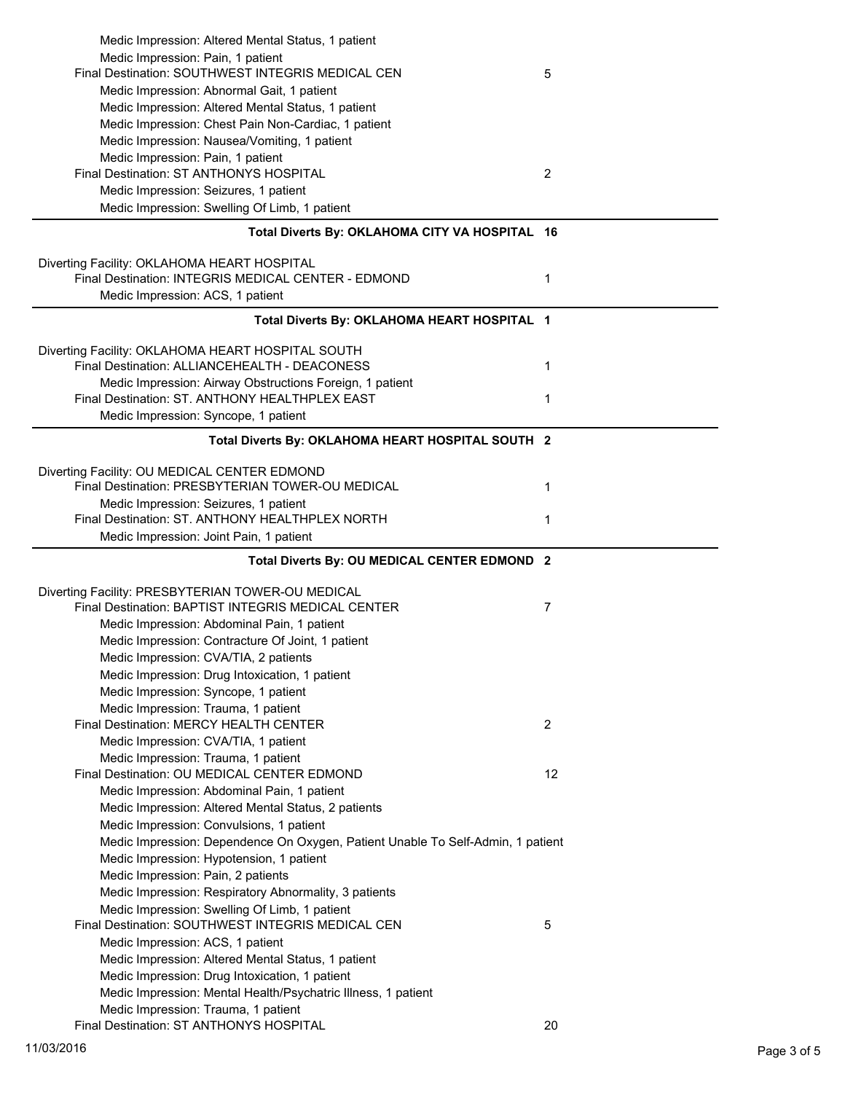| Medic Impression: Altered Mental Status, 1 patient<br>Medic Impression: Pain, 1 patient<br>Final Destination: SOUTHWEST INTEGRIS MEDICAL CEN<br>Medic Impression: Abnormal Gait, 1 patient<br>Medic Impression: Altered Mental Status, 1 patient                              | 5  |
|-------------------------------------------------------------------------------------------------------------------------------------------------------------------------------------------------------------------------------------------------------------------------------|----|
| Medic Impression: Chest Pain Non-Cardiac, 1 patient<br>Medic Impression: Nausea/Vomiting, 1 patient<br>Medic Impression: Pain, 1 patient<br>Final Destination: ST ANTHONYS HOSPITAL<br>Medic Impression: Seizures, 1 patient<br>Medic Impression: Swelling Of Limb, 1 patient | 2  |
| Total Diverts By: OKLAHOMA CITY VA HOSPITAL 16                                                                                                                                                                                                                                |    |
| Diverting Facility: OKLAHOMA HEART HOSPITAL<br>Final Destination: INTEGRIS MEDICAL CENTER - EDMOND<br>Medic Impression: ACS, 1 patient                                                                                                                                        | 1  |
| Total Diverts By: OKLAHOMA HEART HOSPITAL 1                                                                                                                                                                                                                                   |    |
| Diverting Facility: OKLAHOMA HEART HOSPITAL SOUTH<br>Final Destination: ALLIANCEHEALTH - DEACONESS<br>Medic Impression: Airway Obstructions Foreign, 1 patient<br>Final Destination: ST. ANTHONY HEALTHPLEX EAST                                                              | 1  |
| Medic Impression: Syncope, 1 patient                                                                                                                                                                                                                                          | 1  |
| Total Diverts By: OKLAHOMA HEART HOSPITAL SOUTH 2                                                                                                                                                                                                                             |    |
|                                                                                                                                                                                                                                                                               |    |
| Diverting Facility: OU MEDICAL CENTER EDMOND<br>Final Destination: PRESBYTERIAN TOWER-OU MEDICAL                                                                                                                                                                              | 1  |
| Medic Impression: Seizures, 1 patient<br>Final Destination: ST. ANTHONY HEALTHPLEX NORTH                                                                                                                                                                                      | 1  |
|                                                                                                                                                                                                                                                                               |    |
| Medic Impression: Joint Pain, 1 patient                                                                                                                                                                                                                                       |    |
| Total Diverts By: OU MEDICAL CENTER EDMOND 2                                                                                                                                                                                                                                  |    |
| Diverting Facility: PRESBYTERIAN TOWER-OU MEDICAL<br>Final Destination: BAPTIST INTEGRIS MEDICAL CENTER<br>Medic Impression: Abdominal Pain, 1 patient<br>Medic Impression: Contracture Of Joint, 1 patient<br>Medic Impression: CVA/TIA, 2 patients                          | 7  |
| Medic Impression: Drug Intoxication, 1 patient                                                                                                                                                                                                                                |    |
| Medic Impression: Syncope, 1 patient<br>Medic Impression: Trauma, 1 patient                                                                                                                                                                                                   |    |
| Final Destination: MERCY HEALTH CENTER                                                                                                                                                                                                                                        | 2  |
| Medic Impression: CVA/TIA, 1 patient<br>Medic Impression: Trauma, 1 patient<br>Final Destination: OU MEDICAL CENTER EDMOND                                                                                                                                                    | 12 |
| Medic Impression: Abdominal Pain, 1 patient                                                                                                                                                                                                                                   |    |
| Medic Impression: Altered Mental Status, 2 patients                                                                                                                                                                                                                           |    |
| Medic Impression: Convulsions, 1 patient                                                                                                                                                                                                                                      |    |
| Medic Impression: Dependence On Oxygen, Patient Unable To Self-Admin, 1 patient<br>Medic Impression: Hypotension, 1 patient                                                                                                                                                   |    |
| Medic Impression: Pain, 2 patients                                                                                                                                                                                                                                            |    |
| Medic Impression: Respiratory Abnormality, 3 patients                                                                                                                                                                                                                         |    |
| Medic Impression: Swelling Of Limb, 1 patient<br>Final Destination: SOUTHWEST INTEGRIS MEDICAL CEN                                                                                                                                                                            | 5  |
| Medic Impression: ACS, 1 patient                                                                                                                                                                                                                                              |    |
| Medic Impression: Altered Mental Status, 1 patient<br>Medic Impression: Drug Intoxication, 1 patient                                                                                                                                                                          |    |
| Medic Impression: Mental Health/Psychatric Illness, 1 patient<br>Medic Impression: Trauma, 1 patient                                                                                                                                                                          |    |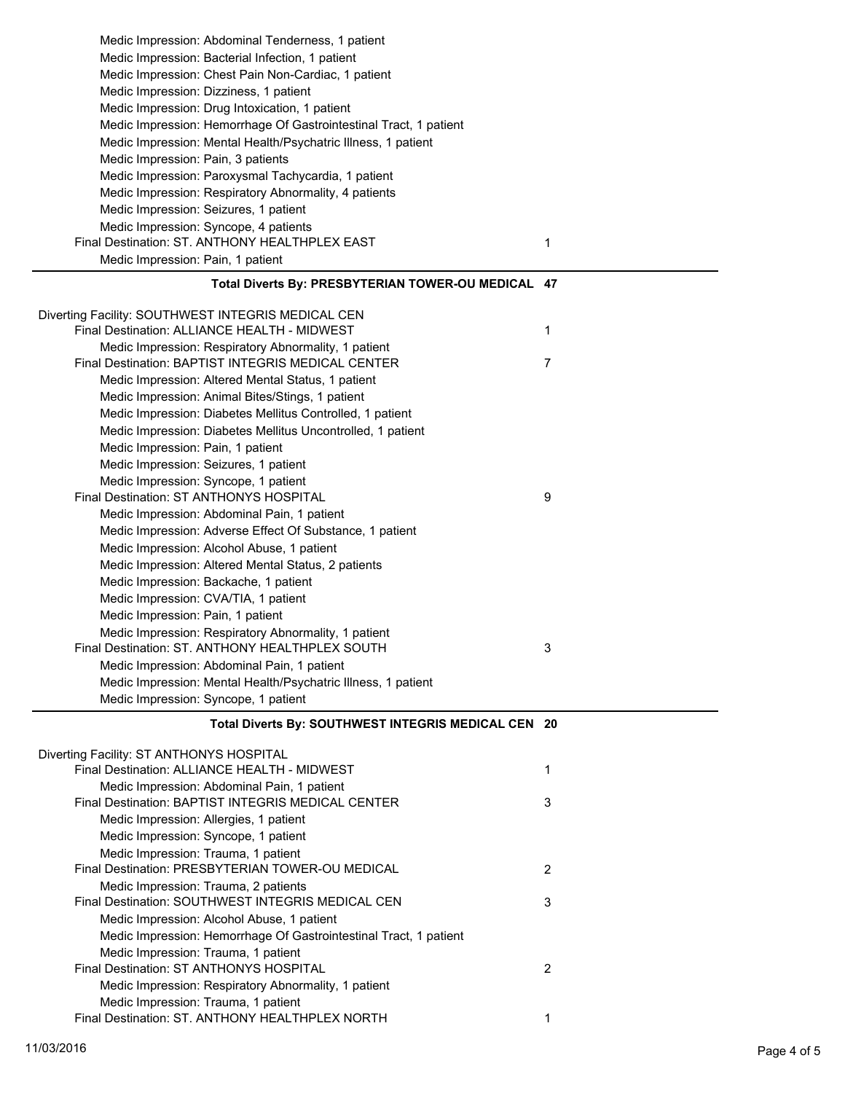| Medic Impression: Abdominal Tenderness, 1 patient                 |   |
|-------------------------------------------------------------------|---|
| Medic Impression: Bacterial Infection, 1 patient                  |   |
| Medic Impression: Chest Pain Non-Cardiac, 1 patient               |   |
| Medic Impression: Dizziness, 1 patient                            |   |
| Medic Impression: Drug Intoxication, 1 patient                    |   |
| Medic Impression: Hemorrhage Of Gastrointestinal Tract, 1 patient |   |
| Medic Impression: Mental Health/Psychatric Illness, 1 patient     |   |
| Medic Impression: Pain, 3 patients                                |   |
| Medic Impression: Paroxysmal Tachycardia, 1 patient               |   |
| Medic Impression: Respiratory Abnormality, 4 patients             |   |
| Medic Impression: Seizures, 1 patient                             |   |
| Medic Impression: Syncope, 4 patients                             |   |
| Final Destination: ST. ANTHONY HEALTHPLEX EAST                    | 1 |
| Medic Impression: Pain, 1 patient                                 |   |
| Total Diverts By: PRESBYTERIAN TOWER-OU MEDICAL 47                |   |
|                                                                   |   |
| Diverting Facility: SOUTHWEST INTEGRIS MEDICAL CEN                |   |
| Final Destination: ALLIANCE HEALTH - MIDWEST                      | 1 |
| Medic Impression: Respiratory Abnormality, 1 patient              |   |
| Final Destination: BAPTIST INTEGRIS MEDICAL CENTER                | 7 |
| Medic Impression: Altered Mental Status, 1 patient                |   |
| Medic Impression: Animal Bites/Stings, 1 patient                  |   |
| Medic Impression: Diabetes Mellitus Controlled, 1 patient         |   |
| Medic Impression: Diabetes Mellitus Uncontrolled, 1 patient       |   |
| Medic Impression: Pain, 1 patient                                 |   |
| Medic Impression: Seizures, 1 patient                             |   |
| Medic Impression: Syncope, 1 patient                              |   |
| Final Destination: ST ANTHONYS HOSPITAL                           | 9 |
| Medic Impression: Abdominal Pain, 1 patient                       |   |
| Medic Impression: Adverse Effect Of Substance, 1 patient          |   |
| Medic Impression: Alcohol Abuse, 1 patient                        |   |
| Medic Impression: Altered Mental Status, 2 patients               |   |
| Medic Impression: Backache, 1 patient                             |   |
| Medic Impression: CVA/TIA, 1 patient                              |   |
| Medic Impression: Pain, 1 patient                                 |   |
| Medic Impression: Respiratory Abnormality, 1 patient              |   |
| Final Destination: ST. ANTHONY HEALTHPLEX SOUTH                   | 3 |
| Medic Impression: Abdominal Pain, 1 patient                       |   |
| Medic Impression: Mental Health/Psychatric Illness, 1 patient     |   |
| Medic Impression: Syncope, 1 patient                              |   |
| Total Diverts By: SOUTHWEST INTEGRIS MEDICAL CEN 20               |   |
|                                                                   |   |
| Diverting Facility: ST ANTHONYS HOSPITAL                          |   |

| Final Destination: ALLIANCE HEALTH - MIDWEST                      |   |
|-------------------------------------------------------------------|---|
| Medic Impression: Abdominal Pain, 1 patient                       |   |
| Final Destination: BAPTIST INTEGRIS MEDICAL CENTER                | 3 |
| Medic Impression: Allergies, 1 patient                            |   |
| Medic Impression: Syncope, 1 patient                              |   |
| Medic Impression: Trauma, 1 patient                               |   |
| Final Destination: PRESBYTERIAN TOWER-OU MEDICAL                  | 2 |
| Medic Impression: Trauma, 2 patients                              |   |
| Final Destination: SOUTHWEST INTEGRIS MEDICAL CEN                 | 3 |
| Medic Impression: Alcohol Abuse, 1 patient                        |   |
| Medic Impression: Hemorrhage Of Gastrointestinal Tract, 1 patient |   |
| Medic Impression: Trauma, 1 patient                               |   |
| Final Destination: ST ANTHONYS HOSPITAL                           | 2 |
| Medic Impression: Respiratory Abnormality, 1 patient              |   |
| Medic Impression: Trauma, 1 patient                               |   |
| Final Destination: ST. ANTHONY HEALTHPLEX NORTH                   |   |